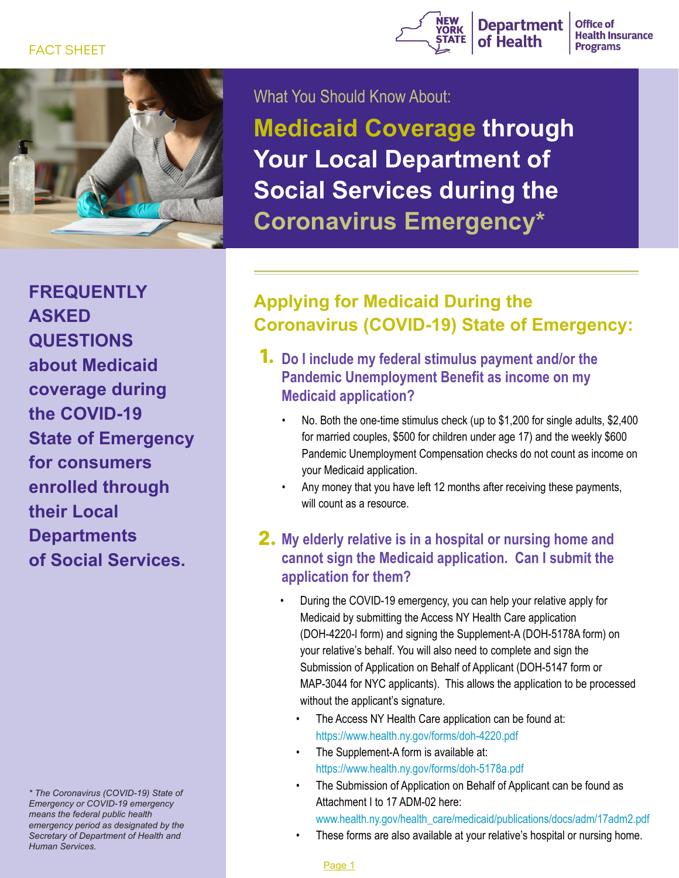### FACT SHEET





What You Should Know About:

**Medicaid Coverage through Your Local Department of Social Services during the Coronavirus Emergency\***

**FREQUENTLY ASKED QUESTIONS about Medicaid coverage during the COVID-19 State of Emergency for consumers enrolled through their Local Departments of Social Services.**

*\* The Coronavirus (COVID-19) State of Emergency or COVID-19 emergency means the federal public health emergency period as designated by the Secretary of Department of Health and Human Services.*

# **Applying for Medicaid During the Coronavirus (COVID-19) State of Emergency:**

- **Do I include my federal stimulus payment and/or the 1. Pandemic Unemployment Benefit as income on my Medicaid application?**
	- No. Both the one-time stimulus check (up to \$1,200 for single adults, \$2,400 for married couples, \$500 for children under age 17) and the weekly \$600 Pandemic Unemployment Compensation checks do not count as income on your Medicaid application.
	- Any money that you have left 12 months after receiving these payments, will count as a resource.

## **My elderly relative is in a hospital or nursing home and 2. cannot sign the Medicaid application. Can I submit the application for them?**

- During the COVID-19 emergency, you can help your relative apply for Medicaid by submitting the Access NY Health Care application (DOH-4220-I form) and signing the Supplement-A (DOH-5178A form) on your relative's behalf. You will also need to complete and sign the Submission of Application on Behalf of Applicant (DOH-5147 form or MAP-3044 for NYC applicants). This allows the application to be processed without the applicant's signature.
- The Access NY Health Care application can be found at: https://www.health.ny.gov/forms/doh-4220.pdf
- The Supplement-A form is available at: https://www.health.ny.gov/forms/doh-5178a.pdf
- The Submission of Application on Behalf of Applicant can be found as Attachment I to 17 ADM-02 here:
	- [www.health.ny.gov/health\\_care/medicaid/publications/docs/adm/17adm2.pdf](http://coverage4healthcare.org/insurance_over_65/authorized_representative.pdf)
- These forms are also available at your relative's hospital or nursing home.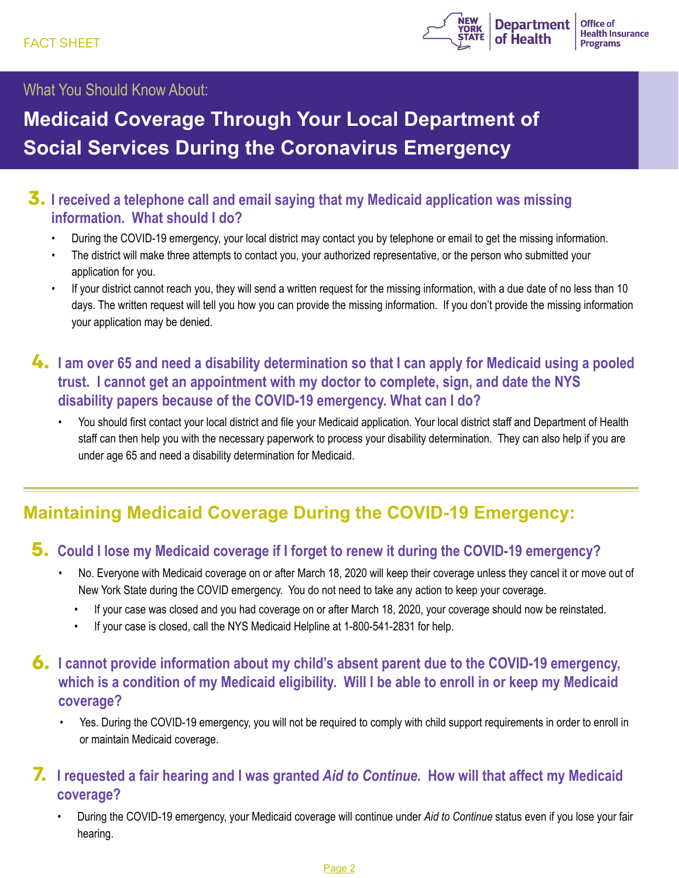

### What You Should Know About:

# **Medicaid Coverage Through Your Local Department of Social Services During the Coronavirus Emergency**

# **3.** I received a telephone call and email saying that my Medicaid application was missing **information. What should I do?**

- During the COVID-19 emergency, your local district may contact you by telephone or email to get the missing information.
- The district will make three attempts to contact you, your authorized representative, or the person who submitted your application for you.
- If your district cannot reach you, they will send a written request for the missing information, with a due date of no less than 10 days. The written request will tell you how you can provide the missing information. If you don't provide the missing information your application may be denied.
- **I am over 65 and need a disability determination so that I can apply for Medicaid using a pooled 4. trust. I cannot get an appointment with my doctor to complete, sign, and date the NYS disability papers because of the COVID-19 emergency. What can I do?** 
	- You should first contact your local district and file your Medicaid application. Your local district staff and Department of Health staff can then help you with the necessary paperwork to process your disability determination. They can also help if you are under age 65 and need a disability determination for Medicaid.

# **Maintaining Medicaid Coverage During the COVID-19 Emergency:**

### **5. Could I lose my Medicaid coverage if I forget to renew it during the COVID-19 emergency?**

- No. Everyone with Medicaid coverage on or after March 18, 2020 will keep their coverage unless they cancel it or move out of New York State during the COVID emergency. You do not need to take any action to keep your coverage.
	- If your case was closed and you had coverage on or after March 18, 2020, your coverage should now be reinstated.
	- If your case is closed, call the NYS Medicaid Helpline at 1-800-541-2831 for help.

## **6.** I cannot provide information about my child's absent parent due to the COVID-19 emergency, **which is a condition of my Medicaid eligibility. Will I be able to enroll in or keep my Medicaid coverage?**

• Yes. During the COVID-19 emergency, you will not be required to comply with child support requirements in order to enroll in or maintain Medicaid coverage.

# **I requested a fair hearing and I was granted** *Aid to Continue***. How will that affect my Medicaid 7. coverage?**

• During the COVID-19 emergency, your Medicaid coverage will continue under *Aid to Continue* status even if you lose your fair hearing.

#### Page 2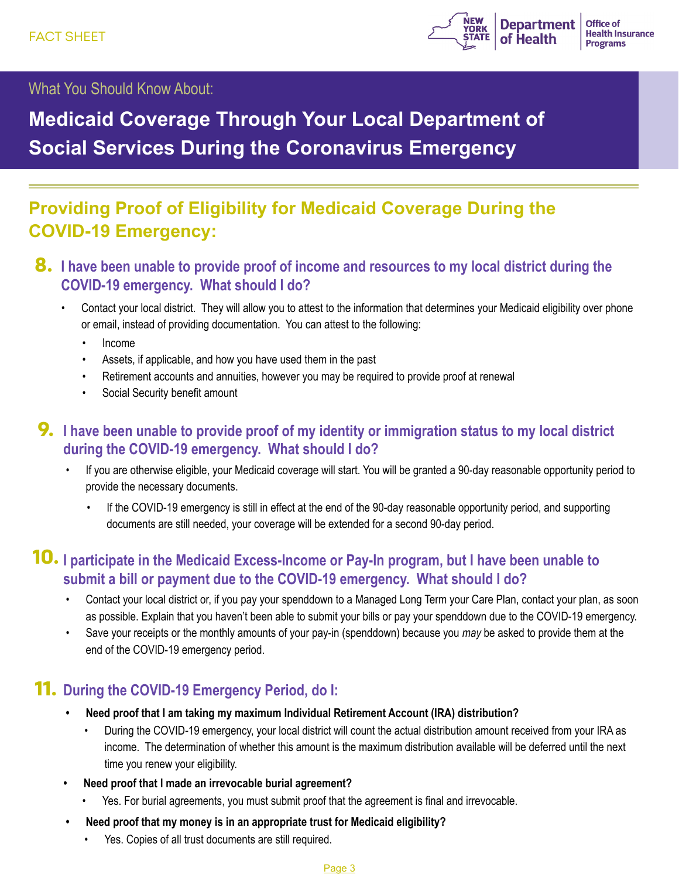

What You Should Know About:

# **Medicaid Coverage Through Your Local Department of Social Services During the Coronavirus Emergency**

# **Providing Proof of Eligibility for Medicaid Coverage During the COVID-19 Emergency:**

- **8.** I have been unable to provide proof of income and resources to my local district during the **COVID-19 emergency. What should I do?**
	- Contact your local district. They will allow you to attest to the information that determines your Medicaid eligibility over phone or email, instead of providing documentation. You can attest to the following:
		- Income
		- Assets, if applicable, and how you have used them in the past
		- Retirement accounts and annuities, however you may be required to provide proof at renewal
		- Social Security benefit amount

# **9.** I have been unable to provide proof of my identity or immigration status to my local district **during the COVID-19 emergency. What should I do?**

- If you are otherwise eligible, your Medicaid coverage will start. You will be granted a 90-day reasonable opportunity period to provide the necessary documents.
	- If the COVID-19 emergency is still in effect at the end of the 90-day reasonable opportunity period, and supporting documents are still needed, your coverage will be extended for a second 90-day period.

# **10.** I participate in the Medicaid Excess-Income or Pay-In program, but I have been unable to **submit a bill or payment due to the COVID-19 emergency. What should I do?**

- Contact your local district or, if you pay your spenddown to a Managed Long Term your Care Plan, contact your plan, as soon as possible. Explain that you haven't been able to submit your bills or pay your spenddown due to the COVID-19 emergency.
- Save your receipts or the monthly amounts of your pay-in (spenddown) because you *may* be asked to provide them at the end of the COVID-19 emergency period.

# **11. During the COVID-19 Emergency Period, do I:**

- **• Need proof that I am taking my maximum Individual Retirement Account (IRA) distribution?** 
	- During the COVID-19 emergency, your local district will count the actual distribution amount received from your IRA as income. The determination of whether this amount is the maximum distribution available will be deferred until the next time you renew your eligibility.
- **• Need proof that I made an irrevocable burial agreement?**
	- Yes. For burial agreements, you must submit proof that the agreement is final and irrevocable.
- **• Need proof that my money is in an appropriate trust for Medicaid eligibility?**
	- Yes. Copies of all trust documents are still required.